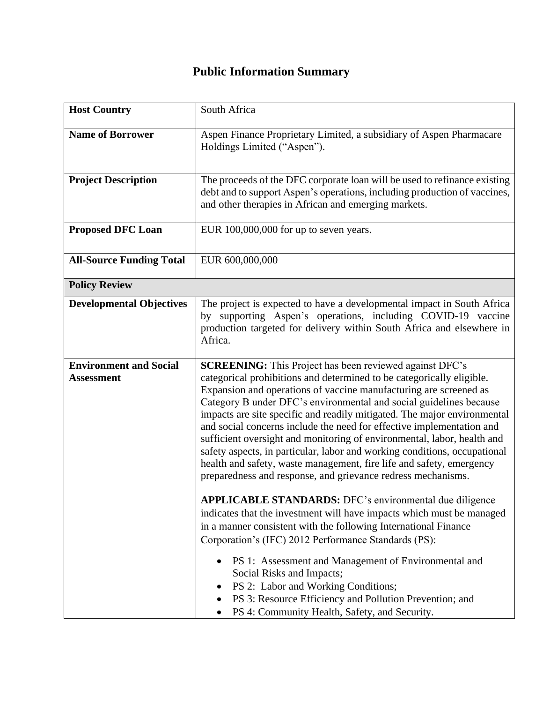## **Public Information Summary**

| <b>Host Country</b>                                | South Africa                                                                                                                                                                                                                                                                                                                                                                                                                                                                                                                                                                                                                                                                                                                                                                                                                                                                                                                                                                                                                                                                                                                                                                                                                                          |
|----------------------------------------------------|-------------------------------------------------------------------------------------------------------------------------------------------------------------------------------------------------------------------------------------------------------------------------------------------------------------------------------------------------------------------------------------------------------------------------------------------------------------------------------------------------------------------------------------------------------------------------------------------------------------------------------------------------------------------------------------------------------------------------------------------------------------------------------------------------------------------------------------------------------------------------------------------------------------------------------------------------------------------------------------------------------------------------------------------------------------------------------------------------------------------------------------------------------------------------------------------------------------------------------------------------------|
| <b>Name of Borrower</b>                            | Aspen Finance Proprietary Limited, a subsidiary of Aspen Pharmacare<br>Holdings Limited ("Aspen").                                                                                                                                                                                                                                                                                                                                                                                                                                                                                                                                                                                                                                                                                                                                                                                                                                                                                                                                                                                                                                                                                                                                                    |
| <b>Project Description</b>                         | The proceeds of the DFC corporate loan will be used to refinance existing<br>debt and to support Aspen's operations, including production of vaccines,<br>and other therapies in African and emerging markets.                                                                                                                                                                                                                                                                                                                                                                                                                                                                                                                                                                                                                                                                                                                                                                                                                                                                                                                                                                                                                                        |
| <b>Proposed DFC Loan</b>                           | EUR 100,000,000 for up to seven years.                                                                                                                                                                                                                                                                                                                                                                                                                                                                                                                                                                                                                                                                                                                                                                                                                                                                                                                                                                                                                                                                                                                                                                                                                |
| <b>All-Source Funding Total</b>                    | EUR 600,000,000                                                                                                                                                                                                                                                                                                                                                                                                                                                                                                                                                                                                                                                                                                                                                                                                                                                                                                                                                                                                                                                                                                                                                                                                                                       |
| <b>Policy Review</b>                               |                                                                                                                                                                                                                                                                                                                                                                                                                                                                                                                                                                                                                                                                                                                                                                                                                                                                                                                                                                                                                                                                                                                                                                                                                                                       |
| <b>Developmental Objectives</b>                    | The project is expected to have a developmental impact in South Africa<br>by supporting Aspen's operations, including COVID-19 vaccine<br>production targeted for delivery within South Africa and elsewhere in<br>Africa.                                                                                                                                                                                                                                                                                                                                                                                                                                                                                                                                                                                                                                                                                                                                                                                                                                                                                                                                                                                                                            |
| <b>Environment and Social</b><br><b>Assessment</b> | <b>SCREENING:</b> This Project has been reviewed against DFC's<br>categorical prohibitions and determined to be categorically eligible.<br>Expansion and operations of vaccine manufacturing are screened as<br>Category B under DFC's environmental and social guidelines because<br>impacts are site specific and readily mitigated. The major environmental<br>and social concerns include the need for effective implementation and<br>sufficient oversight and monitoring of environmental, labor, health and<br>safety aspects, in particular, labor and working conditions, occupational<br>health and safety, waste management, fire life and safety, emergency<br>preparedness and response, and grievance redress mechanisms.<br><b>APPLICABLE STANDARDS:</b> DFC's environmental due diligence<br>indicates that the investment will have impacts which must be managed<br>in a manner consistent with the following International Finance<br>Corporation's (IFC) 2012 Performance Standards (PS):<br>PS 1: Assessment and Management of Environmental and<br>Social Risks and Impacts;<br>PS 2: Labor and Working Conditions;<br>PS 3: Resource Efficiency and Pollution Prevention; and<br>PS 4: Community Health, Safety, and Security. |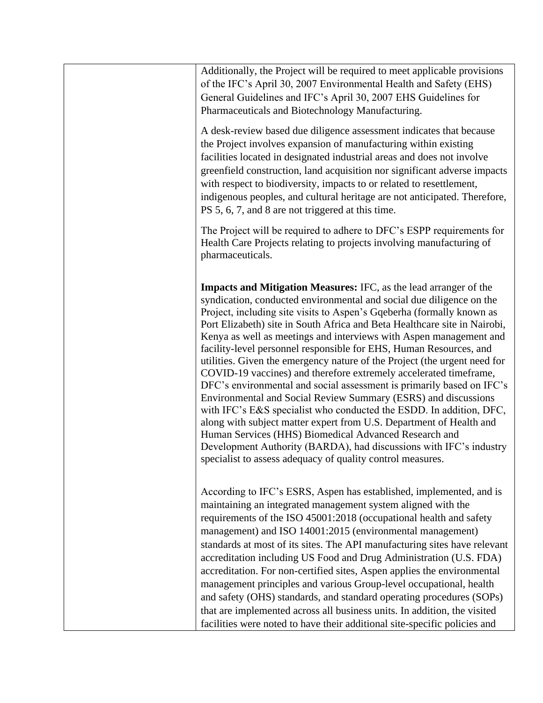| Additionally, the Project will be required to meet applicable provisions<br>of the IFC's April 30, 2007 Environmental Health and Safety (EHS)<br>General Guidelines and IFC's April 30, 2007 EHS Guidelines for<br>Pharmaceuticals and Biotechnology Manufacturing.                                                                                                                                                                                                                                                                                                                                                                                                                                                                                                                                                                                                                                                                                                                                                                                                                        |
|--------------------------------------------------------------------------------------------------------------------------------------------------------------------------------------------------------------------------------------------------------------------------------------------------------------------------------------------------------------------------------------------------------------------------------------------------------------------------------------------------------------------------------------------------------------------------------------------------------------------------------------------------------------------------------------------------------------------------------------------------------------------------------------------------------------------------------------------------------------------------------------------------------------------------------------------------------------------------------------------------------------------------------------------------------------------------------------------|
| A desk-review based due diligence assessment indicates that because<br>the Project involves expansion of manufacturing within existing<br>facilities located in designated industrial areas and does not involve<br>greenfield construction, land acquisition nor significant adverse impacts<br>with respect to biodiversity, impacts to or related to resettlement,<br>indigenous peoples, and cultural heritage are not anticipated. Therefore,<br>PS 5, 6, 7, and 8 are not triggered at this time.                                                                                                                                                                                                                                                                                                                                                                                                                                                                                                                                                                                    |
| The Project will be required to adhere to DFC's ESPP requirements for<br>Health Care Projects relating to projects involving manufacturing of<br>pharmaceuticals.                                                                                                                                                                                                                                                                                                                                                                                                                                                                                                                                                                                                                                                                                                                                                                                                                                                                                                                          |
| <b>Impacts and Mitigation Measures: IFC, as the lead arranger of the</b><br>syndication, conducted environmental and social due diligence on the<br>Project, including site visits to Aspen's Gqeberha (formally known as<br>Port Elizabeth) site in South Africa and Beta Healthcare site in Nairobi,<br>Kenya as well as meetings and interviews with Aspen management and<br>facility-level personnel responsible for EHS, Human Resources, and<br>utilities. Given the emergency nature of the Project (the urgent need for<br>COVID-19 vaccines) and therefore extremely accelerated timeframe,<br>DFC's environmental and social assessment is primarily based on IFC's<br>Environmental and Social Review Summary (ESRS) and discussions<br>with IFC's E&S specialist who conducted the ESDD. In addition, DFC,<br>along with subject matter expert from U.S. Department of Health and<br>Human Services (HHS) Biomedical Advanced Research and<br>Development Authority (BARDA), had discussions with IFC's industry<br>specialist to assess adequacy of quality control measures. |
| According to IFC's ESRS, Aspen has established, implemented, and is<br>maintaining an integrated management system aligned with the<br>requirements of the ISO 45001:2018 (occupational health and safety<br>management) and ISO 14001:2015 (environmental management)<br>standards at most of its sites. The API manufacturing sites have relevant<br>accreditation including US Food and Drug Administration (U.S. FDA)<br>accreditation. For non-certified sites, Aspen applies the environmental<br>management principles and various Group-level occupational, health<br>and safety (OHS) standards, and standard operating procedures (SOPs)<br>that are implemented across all business units. In addition, the visited<br>facilities were noted to have their additional site-specific policies and                                                                                                                                                                                                                                                                                |
|                                                                                                                                                                                                                                                                                                                                                                                                                                                                                                                                                                                                                                                                                                                                                                                                                                                                                                                                                                                                                                                                                            |